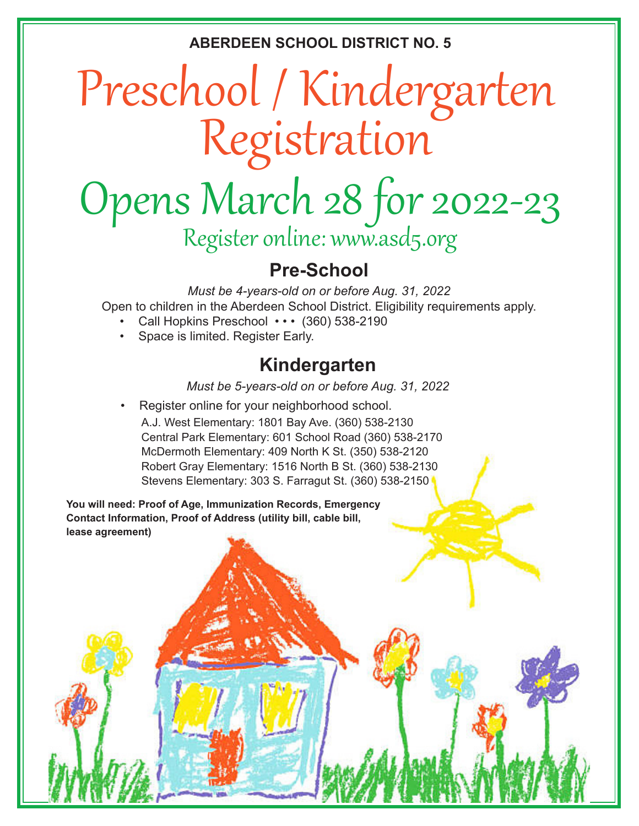#### **ABERDEEN SCHOOL DISTRICT NO. 5**

# Preschool / Kindergarten<br>Registration

## Opens March 28 for 2022-23

Register online: www.asd5.org

### **Pre-School**

*Must be 4-years-old on or before Aug. 31, 2022* 

Open to children in the Aberdeen School District. Eligibility requirements apply.

- Call Hopkins Preschool ••• (360) 538-2190
- Space is limited. Register Early.

### **Kindergarten**

*Must be 5-years-old on or before Aug. 31, 2022*

Register online for your neighborhood school. A.J. West Elementary: 1801 Bay Ave. (360) 538-2130 Central Park Elementary: 601 School Road (360) 538-2170 McDermoth Elementary: 409 North K St. (350) 538-2120 Robert Gray Elementary: 1516 North B St. (360) 538-2130 Stevens Elementary: 303 S. Farragut St. (360) 538-2150

**You will need: Proof of Age, Immunization Records, Emergency Contact Information, Proof of Address (utility bill, cable bill, lease agreement)**